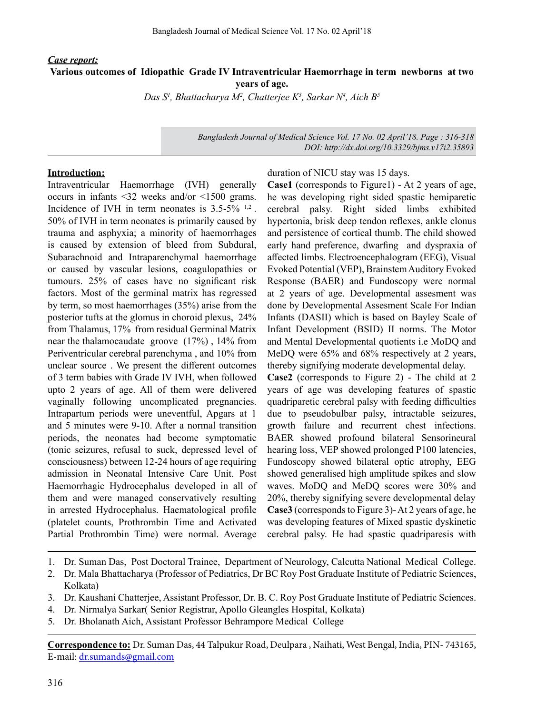## *Case report:* **Various outcomes of Idiopathic Grade IV Intraventricular Haemorrhage in term newborns at two years of age.**

*Das S1 , Bhattacharya M2 , Chatterjee K3 , Sarkar N4 , Aich B5*

*Bangladesh Journal of Medical Science Vol. 17 No. 02 April'18. Page : 316-318 DOI: http://dx.doi.org/10.3329/bjms.v17i2.35893*

## **Introduction:**

Intraventricular Haemorrhage (IVH) generally occurs in infants <32 weeks and/or <1500 grams. Incidence of IVH in term neonates is  $3.5-5\%$  <sup>1,2</sup>. 50% of IVH in term neonates is primarily caused by trauma and asphyxia; a minority of haemorrhages is caused by extension of bleed from Subdural, Subarachnoid and Intraparenchymal haemorrhage or caused by vascular lesions, coagulopathies or tumours. 25% of cases have no significant risk factors. Most of the germinal matrix has regressed by term, so most haemorrhages (35%) arise from the posterior tufts at the glomus in choroid plexus, 24% from Thalamus, 17% from residual Germinal Matrix near the thalamocaudate groove (17%) , 14% from Periventricular cerebral parenchyma , and 10% from unclear source . We present the different outcomes of 3 term babies with Grade IV IVH, when followed upto 2 years of age. All of them were delivered vaginally following uncomplicated pregnancies. Intrapartum periods were uneventful, Apgars at 1 and 5 minutes were 9-10. After a normal transition periods, the neonates had become symptomatic (tonic seizures, refusal to suck, depressed level of consciousness) between 12-24 hours of age requiring admission in Neonatal Intensive Care Unit. Post Haemorrhagic Hydrocephalus developed in all of them and were managed conservatively resulting in arrested Hydrocephalus. Haematological profile (platelet counts, Prothrombin Time and Activated Partial Prothrombin Time) were normal. Average duration of NICU stay was 15 days.

**Case1** (corresponds to Figure1) - At 2 years of age, he was developing right sided spastic hemiparetic cerebral palsy. Right sided limbs exhibited hypertonia, brisk deep tendon reflexes, ankle clonus and persistence of cortical thumb. The child showed early hand preference, dwarfing and dyspraxia of affected limbs. Electroencephalogram (EEG), Visual Evoked Potential (VEP), BrainstemAuditory Evoked Response (BAER) and Fundoscopy were normal at 2 years of age. Developmental assesment was done by Developmental Assesment Scale For Indian Infants (DASII) which is based on Bayley Scale of Infant Development (BSID) II norms. The Motor and Mental Developmental quotients i.e MoDQ and MeDQ were 65% and 68% respectively at 2 years, thereby signifying moderate developmental delay. **Case2** (corresponds to Figure 2) - The child at 2 years of age was developing features of spastic quadriparetic cerebral palsy with feeding difficulties due to pseudobulbar palsy, intractable seizures,

growth failure and recurrent chest infections. BAER showed profound bilateral Sensorineural hearing loss, VEP showed prolonged P100 latencies, Fundoscopy showed bilateral optic atrophy, EEG showed generalised high amplitude spikes and slow waves. MoDQ and MeDQ scores were 30% and 20%, thereby signifying severe developmental delay Case3 (corresponds to Figure 3)-At 2 years of age, he was developing features of Mixed spastic dyskinetic cerebral palsy. He had spastic quadriparesis with

- 1. Dr. Suman Das, Post Doctoral Trainee, Department of Neurology, Calcutta National Medical College.
- 2. Dr. Mala Bhattacharya (Professor of Pediatrics, Dr BC Roy Post Graduate Institute of Pediatric Sciences, Kolkata)
- 3. Dr. Kaushani Chatterjee, Assistant Professor, Dr. B. C. Roy Post Graduate Institute of Pediatric Sciences.
- 4. Dr. Nirmalya Sarkar( Senior Registrar, Apollo Gleangles Hospital, Kolkata)
- 5. Dr. Bholanath Aich, Assistant Professor Behrampore Medical College

**Correspondence to:** Dr. Suman Das, 44 Talpukur Road, Deulpara , Naihati, West Bengal, India, PIN- 743165, E-mail: dr.sumands@gmail.com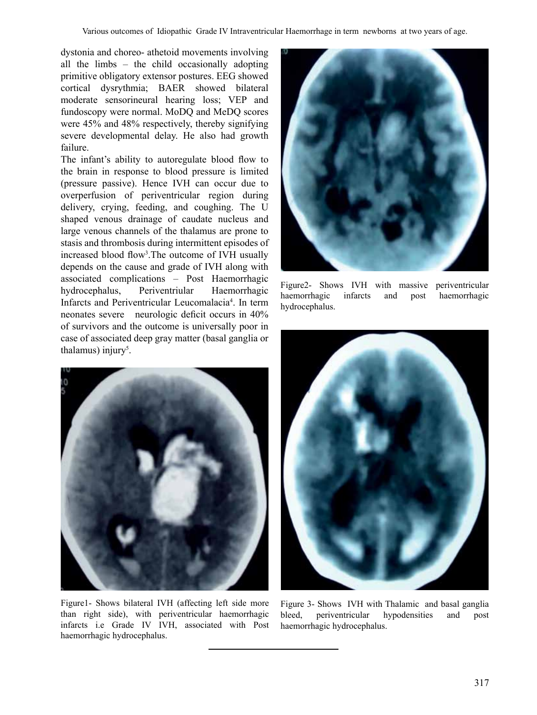dystonia and choreo- athetoid movements involving all the limbs – the child occasionally adopting primitive obligatory extensor postures. EEG showed cortical dysrythmia; BAER showed bilateral moderate sensorineural hearing loss; VEP and fundoscopy were normal. MoDQ and MeDQ scores were 45% and 48% respectively, thereby signifying severe developmental delay. He also had growth failure.

The infant's ability to autoregulate blood flow to the brain in response to blood pressure is limited (pressure passive). Hence IVH can occur due to overperfusion of periventricular region during delivery, crying, feeding, and coughing. The U shaped venous drainage of caudate nucleus and large venous channels of the thalamus are prone to stasis and thrombosis during intermittent episodes of increased blood flow<sup>3</sup>. The outcome of IVH usually depends on the cause and grade of IVH along with associated complications – Post Haemorrhagic hydrocephalus, Periventriular Haemorrhagic Infarcts and Periventricular Leucomalacia<sup>4</sup>. In term neonates severe neurologic deficit occurs in 40% of survivors and the outcome is universally poor in case of associated deep gray matter (basal ganglia or thalamus) injury<sup>5</sup>.



Figure2- Shows IVH with massive periventricular haemorrhagic infarcts and post haemorrhagic hydrocephalus.



Figure1- Shows bilateral IVH (affecting left side more than right side), with periventricular haemorrhagic infarcts i.e Grade IV IVH, associated with Post haemorrhagic hydrocephalus.



Figure 3- Shows IVH with Thalamic and basal ganglia bleed, periventricular hypodensities and post haemorrhagic hydrocephalus.